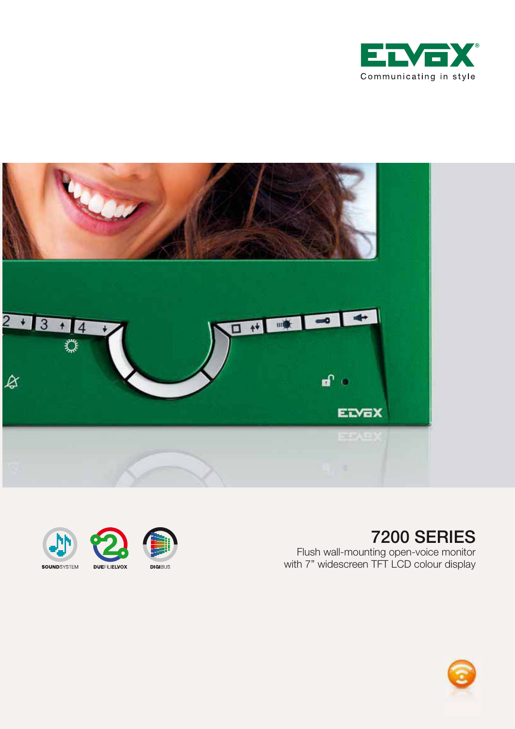





#### 7200 SERIES

Flush wall-mounting open-voice monitor with 7" widescreen TFT LCD colour display

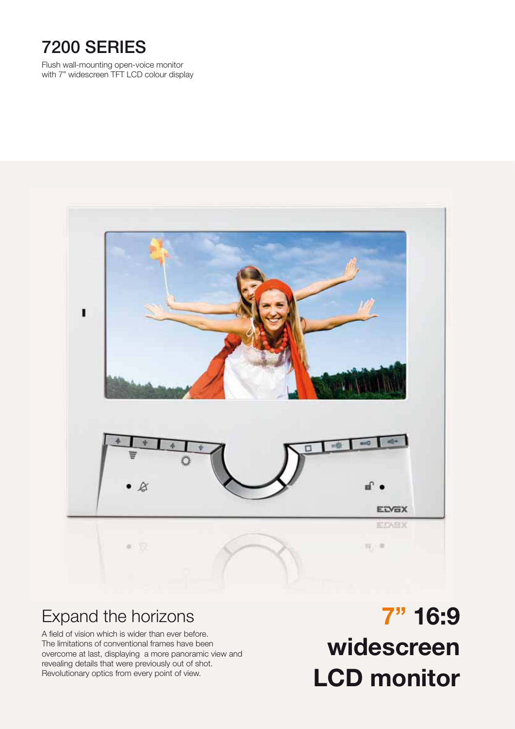## 7200 SERIES

Flush wall-mounting open-voice monitor with 7" widescreen TFT LCD colour display



#### Expand the horizons

A field of vision which is wider than ever before. The limitations of conventional frames have been overcome at last, displaying a more panoramic view and revealing details that were previously out of shot. Revolutionary optics from every point of view.

**7" 16:9 widescreen LCD monitor**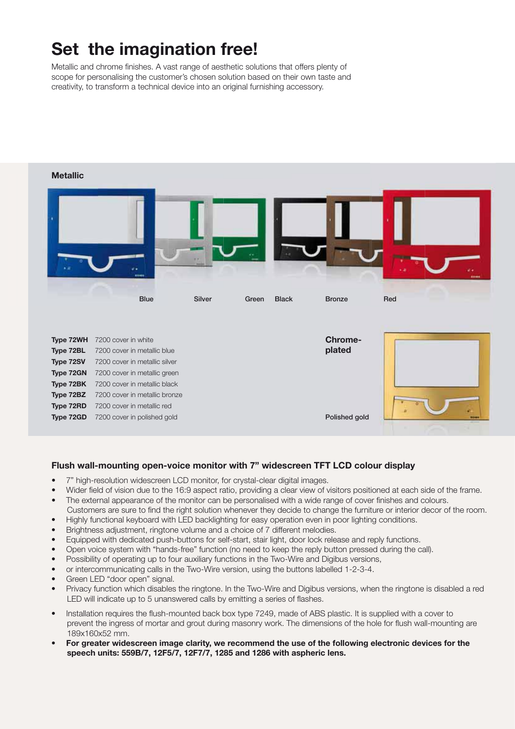# **Set the imagination free!**

Metallic and chrome finishes. A vast range of aesthetic solutions that offers plenty of scope for personalising the customer's chosen solution based on their own taste and creativity, to transform a technical device into an original furnishing accessory.



#### **Flush wall-mounting open-voice monitor with 7" widescreen TFT LCD colour display**

- 7" high-resolution widescreen LCD monitor, for crystal-clear digital images.
- Wider field of vision due to the 16:9 aspect ratio, providing a clear view of visitors positioned at each side of the frame.
- The external appearance of the monitor can be personalised with a wide range of cover finishes and colours. Customers are sure to find the right solution whenever they decide to change the furniture or interior decor of the room.
- Highly functional keyboard with LED backlighting for easy operation even in poor lighting conditions.
- Brightness adjustment, ringtone volume and a choice of 7 different melodies.
- Equipped with dedicated push-buttons for self-start, stair light, door lock release and reply functions.
- Open voice system with "hands-free" function (no need to keep the reply button pressed during the call).
- Possibility of operating up to four auxiliary functions in the Two-Wire and Digibus versions,
- or intercommunicating calls in the Two-Wire version, using the buttons labelled 1-2-3-4.
- Green LED "door open" signal.
- Privacy function which disables the ringtone. In the Two-Wire and Digibus versions, when the ringtone is disabled a red LED will indicate up to 5 unanswered calls by emitting a series of flashes.
- Installation requires the flush-mounted back box type 7249, made of ABS plastic. It is supplied with a cover to prevent the ingress of mortar and grout during masonry work. The dimensions of the hole for flush wall-mounting are 189x160x52 mm.
- **For greater widescreen image clarity, we recommend the use of the following electronic devices for the speech units: 559B/7, 12F5/7, 12F7/7, 1285 and 1286 with aspheric lens.**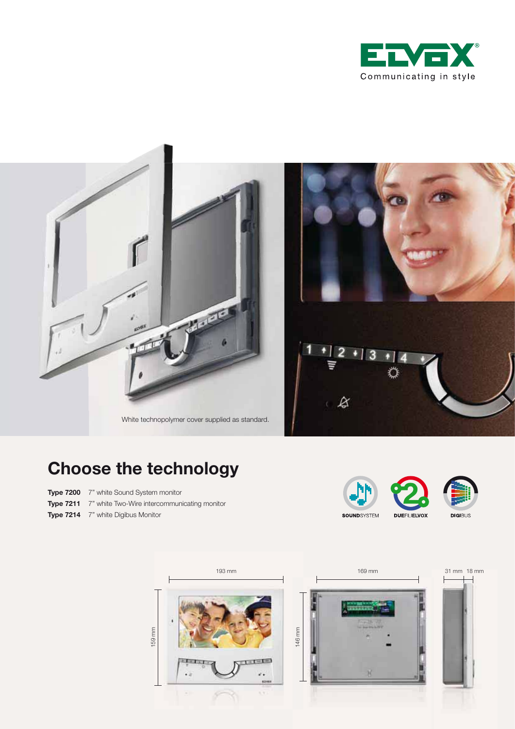





White technopolymer cover supplied as standard.

# **Choose the technology**

- **Type 7200** 7" white Sound System monitor
- **Type 7211** 7" white Two-Wire intercommunicating monitor
- **Type 7214** 7" white Digibus Monitor



₽

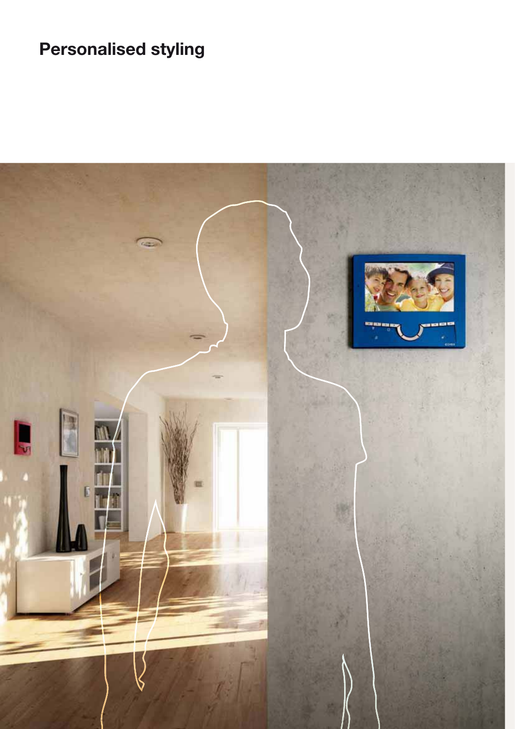# **Personalised styling**